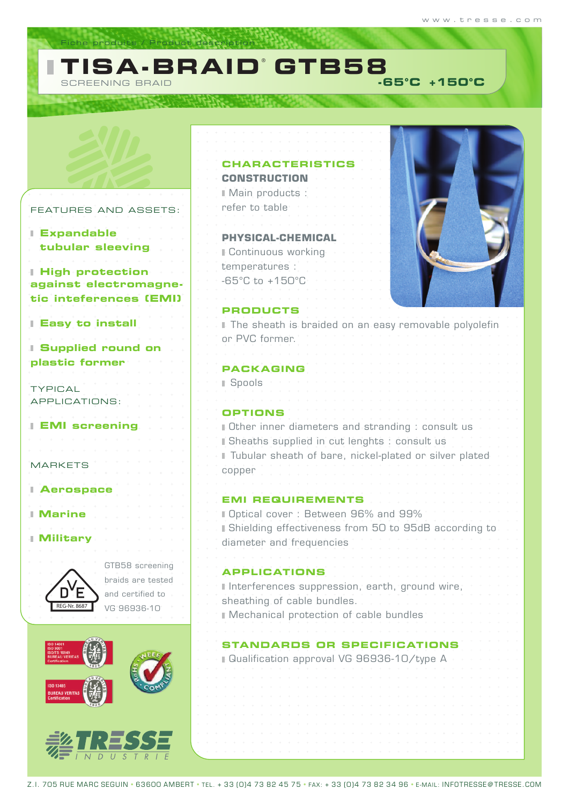### **TISA-BRAID**® **GTB58** SCREENING BRAID  **-65°C +150°C**

## FEATURES AND ASSET

iche produits / Product descriptio

**REAL PROPERTY** 

**Expandable tubular sleeving**

п

**High protection against electromagregie** tic inteferences (EN

|  |  |  |  | <b>I Easy to install</b> |
|--|--|--|--|--------------------------|

**Supplied round on plastic former**

TYPICAL APPLICATIONS:

**EMI screening**

MARKETS

### **Aerospace**

 $\begin{array}{cccccccccccccc} + & \rightarrow & + & + & + & + & + \end{array}$ 

**Marine**

 $\begin{array}{cccccccccc} \downarrow & \downarrow & \downarrow & \downarrow & \downarrow & \downarrow & \downarrow \end{array}$ **Military**



GTB58 screening braids are teste and certified to VG 96936-10



|      | <b>CHARACTERISTICS</b><br><b>CONSTRUCTION</b>                                                                                                                                                                                                         |
|------|-------------------------------------------------------------------------------------------------------------------------------------------------------------------------------------------------------------------------------------------------------|
|      | Main products :                                                                                                                                                                                                                                       |
| "S : | refer to table                                                                                                                                                                                                                                        |
|      |                                                                                                                                                                                                                                                       |
|      | <b>PHYSICAL-CHEMICAL</b>                                                                                                                                                                                                                              |
|      | <b>Continuous working</b>                                                                                                                                                                                                                             |
|      | temperatures :                                                                                                                                                                                                                                        |
|      | $-65^{\circ}$ C to $+150^{\circ}$ C                                                                                                                                                                                                                   |
| 71 I |                                                                                                                                                                                                                                                       |
|      | <b>PRODUCTS</b><br>I The sheath is braided on an easy removable polyolefin                                                                                                                                                                            |
|      | or PVC former.                                                                                                                                                                                                                                        |
|      |                                                                                                                                                                                                                                                       |
|      | <b>PACKAGING</b>                                                                                                                                                                                                                                      |
|      | ⊪ Spools                                                                                                                                                                                                                                              |
|      |                                                                                                                                                                                                                                                       |
|      | <b>OPTIONS</b>                                                                                                                                                                                                                                        |
|      | <b>Dther inner diameters and stranding : consult us</b>                                                                                                                                                                                               |
|      | Sheaths supplied in cut lenghts : consult us                                                                                                                                                                                                          |
|      | Fubular sheath of bare, nickel-plated or silver plated<br>copper                                                                                                                                                                                      |
|      |                                                                                                                                                                                                                                                       |
|      | <b>EMI REQUIREMENTS</b>                                                                                                                                                                                                                               |
|      | Dptical cover: Between 96% and 99%                                                                                                                                                                                                                    |
|      | Bhielding effectiveness from 50 to 95dB accordi                                                                                                                                                                                                       |
|      | diameter and frequencies                                                                                                                                                                                                                              |
| าต   |                                                                                                                                                                                                                                                       |
| эd   | <b>APPLICATIONS</b><br>design a start of the start of the start of the start of the start of the start of the start of the start of the start of the start of the start of the start of the start of the start of the start of the start of the start |
|      | It Interferences suppression, earth, ground wire;<br>sheathing of cable bundles.                                                                                                                                                                      |
|      | <b>Service</b> Service Service<br>Mechanical protection of cable bundles                                                                                                                                                                              |
|      |                                                                                                                                                                                                                                                       |
|      | STANDARDS OR SPECIFICATIONS                                                                                                                                                                                                                           |
|      | ⊪ Qualification approval VG 96936-10/type A                                                                                                                                                                                                           |
|      |                                                                                                                                                                                                                                                       |
|      |                                                                                                                                                                                                                                                       |
|      |                                                                                                                                                                                                                                                       |
|      |                                                                                                                                                                                                                                                       |
|      |                                                                                                                                                                                                                                                       |